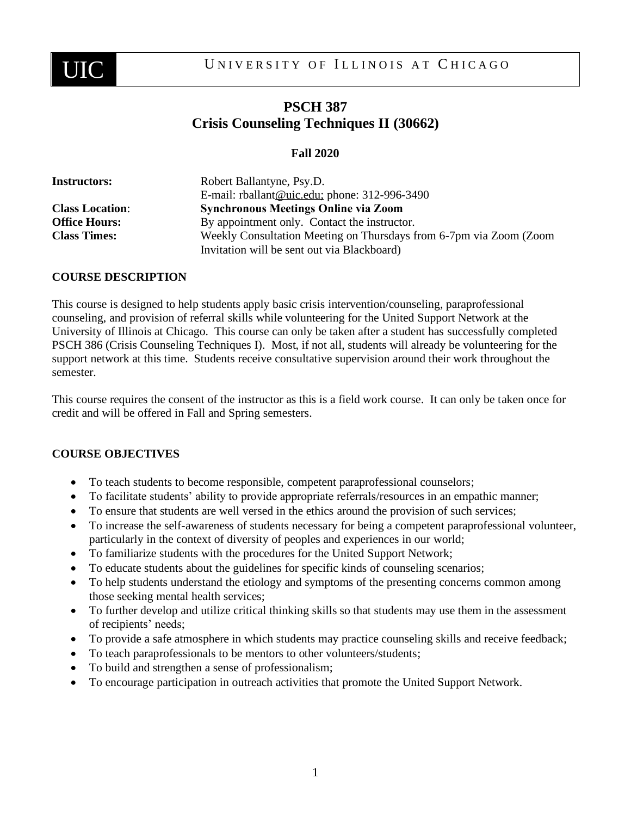

# **PSCH 387 Crisis Counseling Techniques II (30662)**

## **Fall 2020**

| <b>Instructors:</b>    | Robert Ballantyne, Psy.D.                                                                                         |
|------------------------|-------------------------------------------------------------------------------------------------------------------|
|                        | E-mail: rballant@uic.edu; phone: 312-996-3490                                                                     |
| <b>Class Location:</b> | <b>Synchronous Meetings Online via Zoom</b>                                                                       |
| <b>Office Hours:</b>   | By appointment only. Contact the instructor.                                                                      |
| <b>Class Times:</b>    | Weekly Consultation Meeting on Thursdays from 6-7pm via Zoom (Zoom<br>Invitation will be sent out via Blackboard) |

#### **COURSE DESCRIPTION**

This course is designed to help students apply basic crisis intervention/counseling, paraprofessional counseling, and provision of referral skills while volunteering for the United Support Network at the University of Illinois at Chicago. This course can only be taken after a student has successfully completed PSCH 386 (Crisis Counseling Techniques I). Most, if not all, students will already be volunteering for the support network at this time. Students receive consultative supervision around their work throughout the semester.

This course requires the consent of the instructor as this is a field work course. It can only be taken once for credit and will be offered in Fall and Spring semesters.

#### **COURSE OBJECTIVES**

- To teach students to become responsible, competent paraprofessional counselors;
- To facilitate students' ability to provide appropriate referrals/resources in an empathic manner;
- To ensure that students are well versed in the ethics around the provision of such services;
- To increase the self-awareness of students necessary for being a competent paraprofessional volunteer, particularly in the context of diversity of peoples and experiences in our world;
- To familiarize students with the procedures for the United Support Network;
- To educate students about the guidelines for specific kinds of counseling scenarios;
- To help students understand the etiology and symptoms of the presenting concerns common among those seeking mental health services;
- To further develop and utilize critical thinking skills so that students may use them in the assessment of recipients' needs;
- To provide a safe atmosphere in which students may practice counseling skills and receive feedback;
- To teach paraprofessionals to be mentors to other volunteers/students;
- To build and strengthen a sense of professionalism;
- To encourage participation in outreach activities that promote the United Support Network.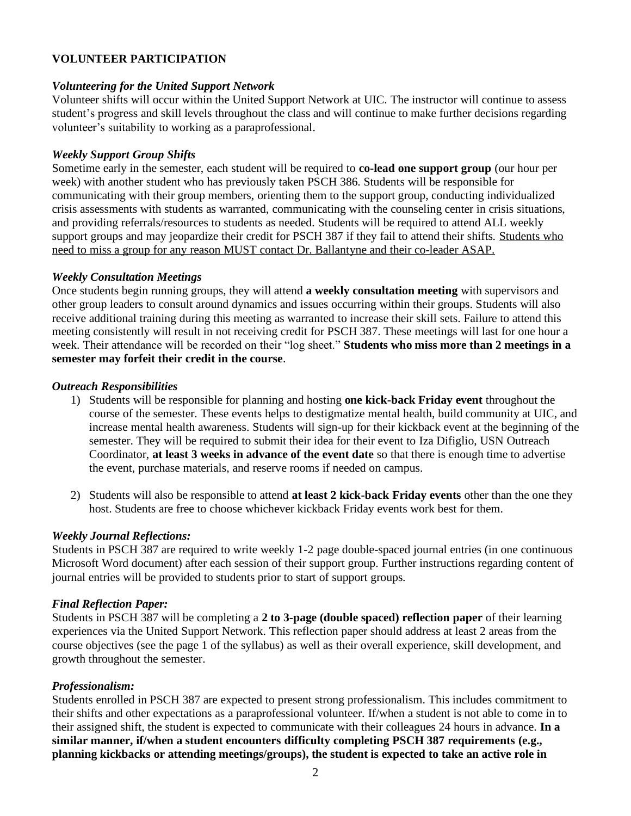## **VOLUNTEER PARTICIPATION**

#### *Volunteering for the United Support Network*

Volunteer shifts will occur within the United Support Network at UIC. The instructor will continue to assess student's progress and skill levels throughout the class and will continue to make further decisions regarding volunteer's suitability to working as a paraprofessional.

#### *Weekly Support Group Shifts*

Sometime early in the semester, each student will be required to **co-lead one support group** (our hour per week) with another student who has previously taken PSCH 386. Students will be responsible for communicating with their group members, orienting them to the support group, conducting individualized crisis assessments with students as warranted, communicating with the counseling center in crisis situations, and providing referrals/resources to students as needed. Students will be required to attend ALL weekly support groups and may jeopardize their credit for PSCH 387 if they fail to attend their shifts. Students who need to miss a group for any reason MUST contact Dr. Ballantyne and their co-leader ASAP.

#### *Weekly Consultation Meetings*

Once students begin running groups, they will attend **a weekly consultation meeting** with supervisors and other group leaders to consult around dynamics and issues occurring within their groups. Students will also receive additional training during this meeting as warranted to increase their skill sets. Failure to attend this meeting consistently will result in not receiving credit for PSCH 387. These meetings will last for one hour a week. Their attendance will be recorded on their "log sheet." **Students who miss more than 2 meetings in a semester may forfeit their credit in the course**.

#### *Outreach Responsibilities*

- 1) Students will be responsible for planning and hosting **one kick-back Friday event** throughout the course of the semester. These events helps to destigmatize mental health, build community at UIC, and increase mental health awareness. Students will sign-up for their kickback event at the beginning of the semester. They will be required to submit their idea for their event to Iza Difiglio, USN Outreach Coordinator, **at least 3 weeks in advance of the event date** so that there is enough time to advertise the event, purchase materials, and reserve rooms if needed on campus.
- 2) Students will also be responsible to attend **at least 2 kick-back Friday events** other than the one they host. Students are free to choose whichever kickback Friday events work best for them.

#### *Weekly Journal Reflections:*

Students in PSCH 387 are required to write weekly 1-2 page double-spaced journal entries (in one continuous Microsoft Word document) after each session of their support group. Further instructions regarding content of journal entries will be provided to students prior to start of support groups.

#### *Final Reflection Paper:*

Students in PSCH 387 will be completing a **2 to 3-page (double spaced) reflection paper** of their learning experiences via the United Support Network. This reflection paper should address at least 2 areas from the course objectives (see the page 1 of the syllabus) as well as their overall experience, skill development, and growth throughout the semester.

#### *Professionalism:*

Students enrolled in PSCH 387 are expected to present strong professionalism. This includes commitment to their shifts and other expectations as a paraprofessional volunteer. If/when a student is not able to come in to their assigned shift, the student is expected to communicate with their colleagues 24 hours in advance. **In a similar manner, if/when a student encounters difficulty completing PSCH 387 requirements (e.g., planning kickbacks or attending meetings/groups), the student is expected to take an active role in**